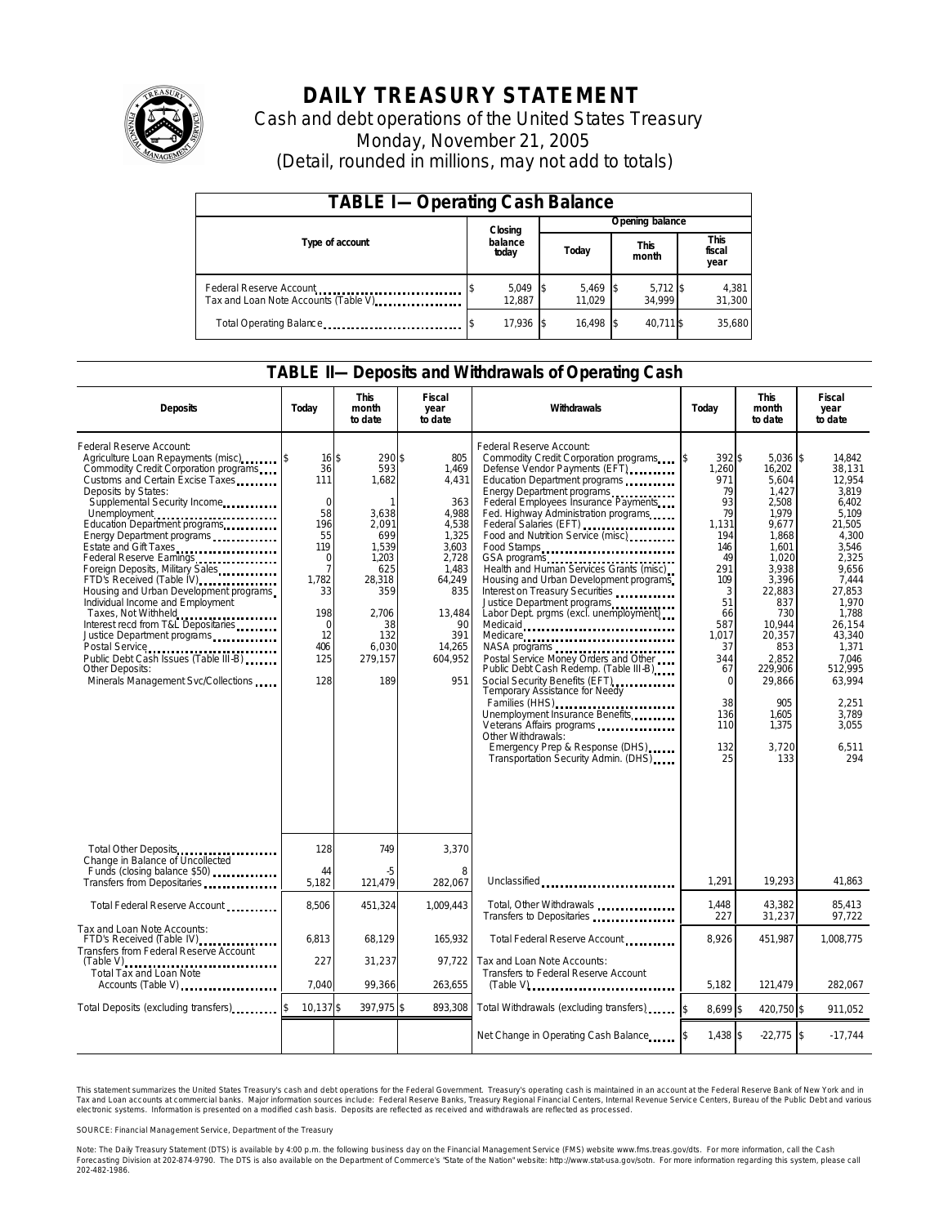

# **DAILY TREASURY STATEMENT**

Cash and debt operations of the United States Treasury Monday, November 21, 2005 (Detail, rounded in millions, may not add to totals)

| <b>TABLE I-Operating Cash Balance</b>                           |                  |                      |  |                      |  |                      |  |                        |  |
|-----------------------------------------------------------------|------------------|----------------------|--|----------------------|--|----------------------|--|------------------------|--|
|                                                                 |                  | Closing              |  | Opening balance      |  |                      |  |                        |  |
| Type of account                                                 | balance<br>today |                      |  | Today                |  | <b>This</b><br>month |  | This<br>fiscal<br>year |  |
| Federal Reserve Account<br>Tax and Loan Note Accounts (Table V) |                  | $5,049$ \$<br>12.887 |  | $5,469$ \$<br>11.029 |  | $5,712$ \$<br>34.999 |  | 4,381<br>31,300        |  |
| Total Operating Balance                                         |                  | 17.936 \$            |  | 16.498               |  | 40.711 \$            |  | 35.680                 |  |

#### **TABLE II—Deposits and Withdrawals of Operating Cash**

| <b>Deposits</b>                                                                                                                                                                                                                                                                                                                                                                                                                                                                                                                                                                                                                          | Today                                                                                                                                                             | <b>This</b><br>month<br>to date                                                                                                                | <b>Fiscal</b><br>year<br>to date                                                                                                                       | Withdrawals                                                                                                                                                                                                                                                                                                                                                                                                                                                                                                                                                                                                                                                                                                                                                                                                                                                                                                                         | Today                                                                                                                                                                               | <b>This</b><br>month<br>to date                                                                                                                                                                                                          | <b>Fiscal</b><br>year<br>to date                                                                                                                                                                                                               |
|------------------------------------------------------------------------------------------------------------------------------------------------------------------------------------------------------------------------------------------------------------------------------------------------------------------------------------------------------------------------------------------------------------------------------------------------------------------------------------------------------------------------------------------------------------------------------------------------------------------------------------------|-------------------------------------------------------------------------------------------------------------------------------------------------------------------|------------------------------------------------------------------------------------------------------------------------------------------------|--------------------------------------------------------------------------------------------------------------------------------------------------------|-------------------------------------------------------------------------------------------------------------------------------------------------------------------------------------------------------------------------------------------------------------------------------------------------------------------------------------------------------------------------------------------------------------------------------------------------------------------------------------------------------------------------------------------------------------------------------------------------------------------------------------------------------------------------------------------------------------------------------------------------------------------------------------------------------------------------------------------------------------------------------------------------------------------------------------|-------------------------------------------------------------------------------------------------------------------------------------------------------------------------------------|------------------------------------------------------------------------------------------------------------------------------------------------------------------------------------------------------------------------------------------|------------------------------------------------------------------------------------------------------------------------------------------------------------------------------------------------------------------------------------------------|
| Federal Reserve Account:<br>Agriculture Loan Repayments (misc)<br>Commodity Credit Corporation programs<br>Customs and Certain Excise Taxes<br>Deposits by States:<br>Supplemental Security Income<br>Energy Department programs<br>Estate and Gift Taxes<br><br>Federal Reserve Earnings<br>Foreign Deposits, Military Sales<br>FTD's Received (Table IV)<br>Housing and Urban Development programs<br>Individual Income and Employment<br>Taxes, Not Withheld<br>Interest recd from T&L Depositaries<br>Justice Department programs<br>Public Debt Cash Issues (Table III-B)<br>Other Deposits:<br>Minerals Management Svc/Collections | $16 \,$ \$<br>36<br>111<br>$\mathbf 0$<br>58<br>196<br>55<br>119<br>$\mathbf 0$<br>$\overline{7}$<br>1,782<br>33<br>198<br>$\mathbf 0$<br>12<br>406<br>125<br>128 | 290\$<br>593<br>1,682<br>1<br>3,638<br>2.091<br>699<br>1.539<br>1,203<br>625<br>28,318<br>359<br>2.706<br>38<br>132<br>6.030<br>279,157<br>189 | 805<br>1,469<br>4,431<br>363<br>4.988<br>4,538<br>1,325<br>3,603<br>2,728<br>1.483<br>64,249<br>835<br>13.484<br>90<br>391<br>14,265<br>604,952<br>951 | Federal Reserve Account:<br>Commodity Credit Corporation programs \$<br>Defense Vendor Payments (EFT)<br>Education Department programs<br>Energy Department programs<br>Federal Employees Insurance Payments<br>Fed. Highway Administration programs<br>Federal Salaries (EFT)<br>Federal Salaries (EFT)<br>Food and Nutrition Service (misc)<br>Food Stamps<br>GSA programs<br>Health and Human Services Grants (misc)<br>Housing and Urban Development programs<br>Interest on Treasury Securities<br>Justice Department programs<br>Labor Dept. prgms (excl. unemployment)<br>Medicaid<br>Medicare<br>NASA programs<br>Postal Service Money Orders and Other<br>Public Debt Cash Redemp. (Table III-B)<br>Social Security Benefits (EFT)<br>Temporary Assistance for Needy<br>Families (HHS)<br>Unemployment Insurance Benefits<br>Other Withdrawals:<br>Emergency Prep & Response (DHS)<br>Transportation Security Admin. (DHS) | 392\$<br>1,260<br>971<br>79<br>93<br>79<br>1.131<br>194<br>146<br>49<br>291<br>109<br>3<br>51<br>66<br>587<br>1,017<br>37<br>344<br>67<br>$\Omega$<br>38<br>136<br>110<br>132<br>25 | $5,036$ \$<br>16,202<br>5,604<br>1.427<br>2,508<br>1.979<br>9,677<br>1.868<br>1.601<br>1,020<br>3.938<br>3,396<br>22.883<br>837<br>730<br>10.944<br>20,357<br>853<br>2,852<br>229,906<br>29.866<br>905<br>1,605<br>1,375<br>3,720<br>133 | 14,842<br>38,131<br>12,954<br>3.819<br>6,402<br>5.109<br>21,505<br>4.300<br>3.546<br>2,325<br>9.656<br>7,444<br>27.853<br>1.970<br>1.788<br>26.154<br>43,340<br>1.371<br>7.046<br>512.995<br>63.994<br>2.251<br>3,789<br>3,055<br>6,511<br>294 |
| Total Other Deposits<br>Change in Balance of Uncollected                                                                                                                                                                                                                                                                                                                                                                                                                                                                                                                                                                                 | 128                                                                                                                                                               | 749                                                                                                                                            | 3,370                                                                                                                                                  |                                                                                                                                                                                                                                                                                                                                                                                                                                                                                                                                                                                                                                                                                                                                                                                                                                                                                                                                     |                                                                                                                                                                                     |                                                                                                                                                                                                                                          |                                                                                                                                                                                                                                                |
| Funds (closing balance \$50)<br>Transfers from Depositaries                                                                                                                                                                                                                                                                                                                                                                                                                                                                                                                                                                              | 44<br>5.182                                                                                                                                                       | -5<br>121.479                                                                                                                                  | 8<br>282.067                                                                                                                                           | Unclassified                                                                                                                                                                                                                                                                                                                                                                                                                                                                                                                                                                                                                                                                                                                                                                                                                                                                                                                        | 1.291                                                                                                                                                                               | 19.293                                                                                                                                                                                                                                   | 41.863                                                                                                                                                                                                                                         |
| Total Federal Reserve Account                                                                                                                                                                                                                                                                                                                                                                                                                                                                                                                                                                                                            | 8,506                                                                                                                                                             | 451,324                                                                                                                                        | 1,009,443                                                                                                                                              | Total, Other Withdrawals<br>Transfers to Depositaries                                                                                                                                                                                                                                                                                                                                                                                                                                                                                                                                                                                                                                                                                                                                                                                                                                                                               | 1,448<br>227                                                                                                                                                                        | 43,382<br>31,237                                                                                                                                                                                                                         | 85,413<br>97,722                                                                                                                                                                                                                               |
| Tax and Loan Note Accounts:<br>FTD's Received (Table IV)<br><br>Transfers from Federal Reserve Account                                                                                                                                                                                                                                                                                                                                                                                                                                                                                                                                   | 6,813                                                                                                                                                             | 68,129                                                                                                                                         | 165,932                                                                                                                                                | Total Federal Reserve Account                                                                                                                                                                                                                                                                                                                                                                                                                                                                                                                                                                                                                                                                                                                                                                                                                                                                                                       | 8,926                                                                                                                                                                               | 451,987                                                                                                                                                                                                                                  | 1,008,775                                                                                                                                                                                                                                      |
| <b>Total Tax and Loan Note</b><br>Accounts (Table V)                                                                                                                                                                                                                                                                                                                                                                                                                                                                                                                                                                                     | 227<br>7.040                                                                                                                                                      | 31,237<br>99,366                                                                                                                               | 97.722<br>263,655                                                                                                                                      | Tax and Loan Note Accounts:<br>Transfers to Federal Reserve Account                                                                                                                                                                                                                                                                                                                                                                                                                                                                                                                                                                                                                                                                                                                                                                                                                                                                 | 5.182                                                                                                                                                                               | 121.479                                                                                                                                                                                                                                  | 282.067                                                                                                                                                                                                                                        |
| Total Deposits (excluding transfers)                                                                                                                                                                                                                                                                                                                                                                                                                                                                                                                                                                                                     | 10,137 \$                                                                                                                                                         | 397,975 \$                                                                                                                                     | 893,308                                                                                                                                                | Total Withdrawals (excluding transfers)                                                                                                                                                                                                                                                                                                                                                                                                                                                                                                                                                                                                                                                                                                                                                                                                                                                                                             | 8.699 \$                                                                                                                                                                            | 420.750 \$                                                                                                                                                                                                                               | 911.052                                                                                                                                                                                                                                        |
|                                                                                                                                                                                                                                                                                                                                                                                                                                                                                                                                                                                                                                          |                                                                                                                                                                   |                                                                                                                                                |                                                                                                                                                        | Net Change in Operating Cash Balance                                                                                                                                                                                                                                                                                                                                                                                                                                                                                                                                                                                                                                                                                                                                                                                                                                                                                                | 1.438 \$                                                                                                                                                                            | $-22,775$ \$                                                                                                                                                                                                                             | $-17,744$                                                                                                                                                                                                                                      |

This statement summarizes the United States Treasury's cash and debt operations for the Federal Government. Treasury's operating cash is maintained in an account at the Federal Reserve Bank of New York and in Tax and Loan accounts at commercial banks. Major information sources include: Federal Reserve Banks, Treasury Regional Financial Centers, Internal Revenue Service Centers, Bureau of the Public Debt and various<br>electronic s

SOURCE: Financial Management Service, Department of the Treasury

Note: The Daily Treasury Statement (DTS) is available by 4:00 p.m. the following business day on the Financial Management Service (FMS) website www.fms.treas.gov/dts.<br>Forecasting Division at 202-874-9790. The DTS is also a 'S) is available by 4:00 p.m. the following business day on the Financial Management Service (FMS) website www.fms.treas.gov/dts. For more information, call the Cash<br>The DTS is also available on the Department of Commerce'